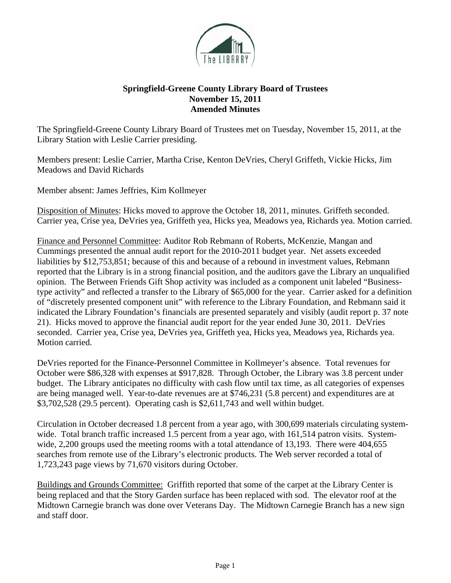

## **Springfield-Greene County Library Board of Trustees November 15, 2011 Amended Minutes**

The Springfield-Greene County Library Board of Trustees met on Tuesday, November 15, 2011, at the Library Station with Leslie Carrier presiding.

Members present: Leslie Carrier, Martha Crise, Kenton DeVries, Cheryl Griffeth, Vickie Hicks, Jim Meadows and David Richards

Member absent: James Jeffries, Kim Kollmeyer

Disposition of Minutes: Hicks moved to approve the October 18, 2011, minutes. Griffeth seconded. Carrier yea, Crise yea, DeVries yea, Griffeth yea, Hicks yea, Meadows yea, Richards yea. Motion carried.

Finance and Personnel Committee: Auditor Rob Rebmann of Roberts, McKenzie, Mangan and Cummings presented the annual audit report for the 2010-2011 budget year. Net assets exceeded liabilities by \$12,753,851; because of this and because of a rebound in investment values, Rebmann reported that the Library is in a strong financial position, and the auditors gave the Library an unqualified opinion. The Between Friends Gift Shop activity was included as a component unit labeled "Businesstype activity" and reflected a transfer to the Library of \$65,000 for the year. Carrier asked for a definition of "discretely presented component unit" with reference to the Library Foundation, and Rebmann said it indicated the Library Foundation's financials are presented separately and visibly (audit report p. 37 note 21). Hicks moved to approve the financial audit report for the year ended June 30, 2011. DeVries seconded. Carrier yea, Crise yea, DeVries yea, Griffeth yea, Hicks yea, Meadows yea, Richards yea. Motion carried.

DeVries reported for the Finance-Personnel Committee in Kollmeyer's absence. Total revenues for October were \$86,328 with expenses at \$917,828. Through October, the Library was 3.8 percent under budget. The Library anticipates no difficulty with cash flow until tax time, as all categories of expenses are being managed well. Year-to-date revenues are at \$746,231 (5.8 percent) and expenditures are at \$3,702,528 (29.5 percent). Operating cash is \$2,611,743 and well within budget.

Circulation in October decreased 1.8 percent from a year ago, with 300,699 materials circulating systemwide. Total branch traffic increased 1.5 percent from a year ago, with 161,514 patron visits. Systemwide, 2,200 groups used the meeting rooms with a total attendance of 13,193. There were 404,655 searches from remote use of the Library's electronic products. The Web server recorded a total of 1,723,243 page views by 71,670 visitors during October.

Buildings and Grounds Committee: Griffith reported that some of the carpet at the Library Center is being replaced and that the Story Garden surface has been replaced with sod. The elevator roof at the Midtown Carnegie branch was done over Veterans Day. The Midtown Carnegie Branch has a new sign and staff door.